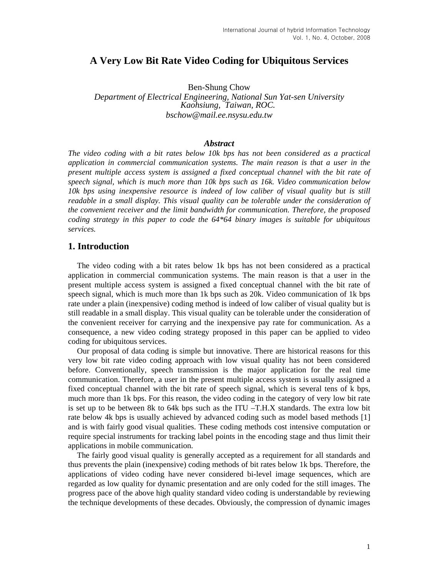# **A Very Low Bit Rate Video Coding for Ubiquitous Services**

Ben-Shung Chow

*Department of Electrical Engineering, National Sun Yat-sen University Kaohsiung, Taiwan, ROC. [bschow@mail.ee.nsysu.edu.tw](mailto:bschow@ee.nsysu.edu.tw)*

#### *Abstract*

*The video coding with a bit rates below 10k bps has not been considered as a practical application in commercial communication systems. The main reason is that a user in the present multiple access system is assigned a fixed conceptual channel with the bit rate of speech signal, which is much more than 10k bps such as 16k. Video communication below 10k bps using inexpensive resource is indeed of low caliber of visual quality but is still readable in a small display. This visual quality can be tolerable under the consideration of the convenient receiver and the limit bandwidth for communication. Therefore, the proposed coding strategy in this paper to code the 64\*64 binary images is suitable for ubiquitous services.* 

#### **1. Introduction**

The video coding with a bit rates below 1k bps has not been considered as a practical application in commercial communication systems. The main reason is that a user in the present multiple access system is assigned a fixed conceptual channel with the bit rate of speech signal, which is much more than 1k bps such as 20k. Video communication of 1k bps rate under a plain (inexpensive) coding method is indeed of low caliber of visual quality but is still readable in a small display. This visual quality can be tolerable under the consideration of the convenient receiver for carrying and the inexpensive pay rate for communication. As a consequence, a new video coding strategy proposed in this paper can be applied to video coding for ubiquitous services.

Our proposal of data coding is simple but innovative. There are historical reasons for this very low bit rate video coding approach with low visual quality has not been considered before. Conventionally, speech transmission is the major application for the real time communication. Therefore, a user in the present multiple access system is usually assigned a fixed conceptual channel with the bit rate of speech signal, which is several tens of k bps, much more than 1k bps. For this reason, the video coding in the category of very low bit rate is set up to be between 8k to 64k bps such as the ITU  $-T.H.X$  standards. The extra low bit rate below 4k bps is usually achieved by advanced coding such as model based methods [1] and is with fairly good visual qualities. These coding methods cost intensive computation or require special instruments for tracking label points in the encoding stage and thus limit their applications in mobile communication.

The fairly good visual quality is generally accepted as a requirement for all standards and thus prevents the plain (inexpensive) coding methods of bit rates below 1k bps. Therefore, the applications of video coding have never considered bi-level image sequences, which are regarded as low quality for dynamic presentation and are only coded for the still images. The progress pace of the above high quality standard video coding is understandable by reviewing the technique developments of these decades. Obviously, the compression of dynamic images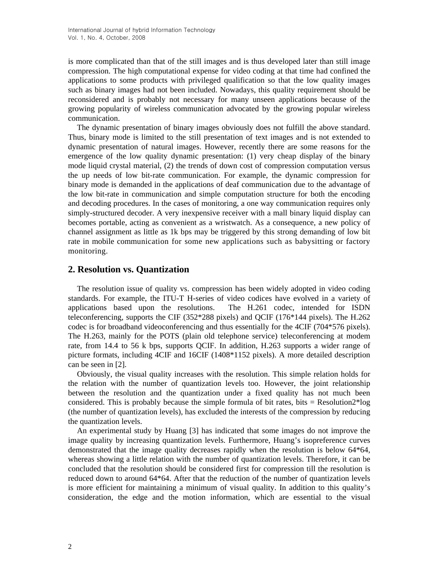is more complicated than that of the still images and is thus developed later than still image compression. The high computational expense for video coding at that time had confined the applications to some products with privileged qualification so that the low quality images such as binary images had not been included. Nowadays, this quality requirement should be reconsidered and is probably not necessary for many unseen applications because of the growing popularity of wireless communication advocated by the growing popular wireless communication.

The dynamic presentation of binary images obviously does not fulfill the above standard. Thus, binary mode is limited to the still presentation of text images and is not extended to dynamic presentation of natural images. However, recently there are some reasons for the emergence of the low quality dynamic presentation: (1) very cheap display of the binary mode liquid crystal material, (2) the trends of down cost of compression computation versus the up needs of low bit-rate communication. For example, the dynamic compression for binary mode is demanded in the applications of deaf communication due to the advantage of the low bit-rate in communication and simple computation structure for both the encoding and decoding procedures. In the cases of monitoring, a one way communication requires only simply-structured decoder. A very inexpensive receiver with a mall binary liquid display can becomes portable, acting as convenient as a wristwatch. As a consequence, a new policy of channel assignment as little as 1k bps may be triggered by this strong demanding of low bit rate in mobile communication for some new applications such as babysitting or factory monitoring.

# **2. Resolution vs. Quantization**

The resolution issue of quality vs. compression has been widely adopted in video coding standards. For example, the ITU-T H-series of video codices have evolved in a variety of applications based upon the resolutions. The H.261 codec, intended for ISDN teleconferencing, supports the CIF (352\*288 pixels) and QCIF (176\*144 pixels). The H.262 codec is for broadband videoconferencing and thus essentially for the 4CIF (704\*576 pixels). The H.263, mainly for the POTS (plain old telephone service) teleconferencing at modem rate, from 14.4 to 56 k bps, supports QCIF. In addition, H.263 supports a wider range of picture formats, including 4CIF and 16CIF (1408\*1152 pixels). A more detailed description can be seen in [2].

Obviously, the visual quality increases with the resolution. This simple relation holds for the relation with the number of quantization levels too. However, the joint relationship between the resolution and the quantization under a fixed quality has not much been considered. This is probably because the simple formula of bit rates, bits  $=$  Resolution $2*$ log (the number of quantization levels), has excluded the interests of the compression by reducing the quantization levels.

An experimental study by Huang [3] has indicated that some images do not improve the image quality by increasing quantization levels. Furthermore, Huang's isopreference curves demonstrated that the image quality decreases rapidly when the resolution is below 64\*64, whereas showing a little relation with the number of quantization levels. Therefore, it can be concluded that the resolution should be considered first for compression till the resolution is reduced down to around 64\*64. After that the reduction of the number of quantization levels is more efficient for maintaining a minimum of visual quality. In addition to this quality's consideration, the edge and the motion information, which are essential to the visual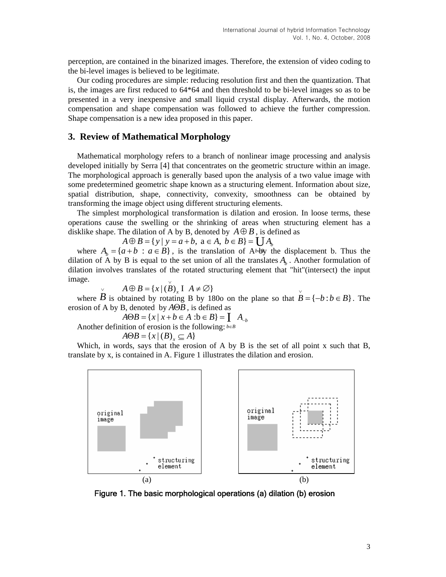perception, are contained in the binarized images. Therefore, the extension of video coding to the bi-level images is believed to be legitimate.

Our coding procedures are simple: reducing resolution first and then the quantization. That is, the images are first reduced to 64\*64 and then threshold to be bi-level images so as to be presented in a very inexpensive and small liquid crystal display. Afterwards, the motion compensation and shape compensation was followed to achieve the further compression. Shape compensation is a new idea proposed in this paper.

### **3. Review of Mathematical Morphology**

Mathematical morphology refers to a branch of nonlinear image processing and analysis developed initially by Serra [4] that concentrates on the geometric structure within an image. The morphological approach is generally based upon the analysis of a two value image with some predetermined geometric shape known as a structuring element. Information about size, spatial distribution, shape, connectivity, convexity, smoothness can be obtained by transforming the image object using different structuring elements.

The simplest morphological transformation is dilation and erosion. In loose terms, these operations cause the swelling or the shrinking of areas when structuring element has a disklike shape. The dilation of A by B, denoted by  $A \oplus B$ , is defined as

 $A \oplus B = \{ y \mid y = a + b, a \in A, b \in B \} = \bigcup A_b$ 

where  $A_b = \{a + b : a \in B\}$ , is the translation of A b+B<sub>y</sub> the displacement b. Thus the dilation of A by B is equal to the set union of all the translates  $A<sub>b</sub>$ . Another formulation of dilation involves translates of the rotated structuring element that "hit"(intersect) the input image. ∨

$$
\varphi \qquad A \oplus B = \{x \mid (B)_x \amalg A \neq \varnothing\}
$$

where  $\overrightarrow{B}$  is obtained by rotating B by 180o on the plane so that  $\overrightarrow{B} = \{-b : b \in B\}$ . The erosion of A by B, denoted by  $A \Theta B$ , is defined as

 $A \Theta B = \{ x \mid x + b \in A : b \in B \} = \begin{bmatrix} A_{-b} \end{bmatrix}$ 

Another definition of erosion is the following:  $b \in B$ 

$$
A\Theta B = \{x \mid (B)_x \subseteq A\}
$$

Which, in words, says that the erosion of A by B is the set of all point x such that B, translate by x, is contained in A. Figure 1 illustrates the dilation and erosion.



Figure 1. The basic morphological operations (a) dilation (b) erosion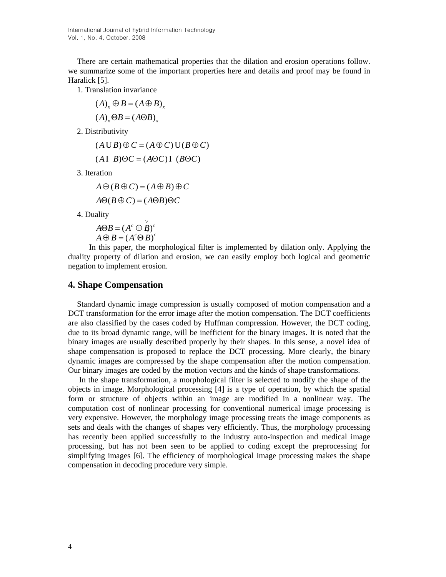There are certain mathematical properties that the dilation and erosion operations follow. we summarize some of the important properties here and details and proof may be found in Haralick [5].

1. Translation invariance

- $(A)$ <sub>x</sub>  $\oplus$  *B* =  $(A \oplus B)$ <sub>x</sub>
- $(A)$ <sub>x</sub> $\Theta B = (A \Theta B)$ <sub>x</sub>

2. Distributivity

$$
(A \cup B) \oplus C = (A \oplus C) \cup (B \oplus C)
$$

 $(A I B) \Theta C = (A \Theta C) I (B \Theta C)$ 

3. Iteration

 $A \oplus (B \oplus C) = (A \oplus B) \oplus C$ 

$$
A\Theta(B\oplus C)=(A\Theta B)\Theta C
$$

4. Duality

$$
\overrightarrow{A \oplus B} = (A^c \oplus \overrightarrow{B})^c
$$
  

$$
A \oplus B = (A^c \oplus B)^c
$$

 In this paper, the morphological filter is implemented by dilation only. Applying the duality property of dilation and erosion, we can easily employ both logical and geometric negation to implement erosion.

#### **4. Shape Compensation**

Standard dynamic image compression is usually composed of motion compensation and a DCT transformation for the error image after the motion compensation. The DCT coefficients are also classified by the cases coded by Huffman compression. However, the DCT coding, due to its broad dynamic range, will be inefficient for the binary images. It is noted that the binary images are usually described properly by their shapes. In this sense, a novel idea of shape compensation is proposed to replace the DCT processing. More clearly, the binary dynamic images are compressed by the shape compensation after the motion compensation. Our binary images are coded by the motion vectors and the kinds of shape transformations.

 In the shape transformation, a morphological filter is selected to modify the shape of the objects in image. Morphological processing [4] is a type of operation, by which the spatial form or structure of objects within an image are modified in a nonlinear way. The computation cost of nonlinear processing for conventional numerical image processing is very expensive. However, the morphology image processing treats the image components as sets and deals with the changes of shapes very efficiently. Thus, the morphology processing has recently been applied successfully to the industry auto-inspection and medical image processing, but has not been seen to be applied to coding except the preprocessing for simplifying images [6]. The efficiency of morphological image processing makes the shape compensation in decoding procedure very simple.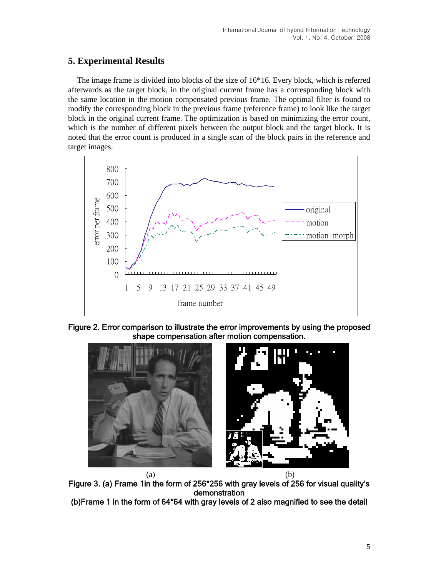# **5. Experimental Results**

The image frame is divided into blocks of the size of 16\*16. Every block, which is referred afterwards as the target block, in the original current frame has a corresponding block with the same location in the motion compensated previous frame. The optimal filter is found to modify the corresponding block in the previous frame (reference frame) to look like the target block in the original current frame. The optimization is based on minimizing the error count, which is the number of different pixels between the output block and the target block. It is noted that the error count is produced in a single scan of the block pairs in the reference and target images.



Figure 2. Error comparison to illustrate the error improvements by using the proposed shape compensation after motion compensation.



 $(a)$  (b) Figure 3. (a) Frame 1in the form of 256\*256 with gray levels of 256 for visual quality's demonstration (b)Frame 1 in the form of 64\*64 with gray levels of 2 also magnified to see the detail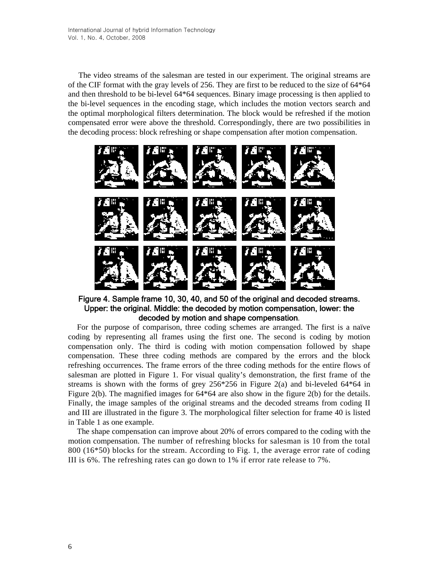The video streams of the salesman are tested in our experiment. The original streams are of the CIF format with the gray levels of 256. They are first to be reduced to the size of 64\*64 and then threshold to be bi-level 64\*64 sequences. Binary image processing is then applied to the bi-level sequences in the encoding stage, which includes the motion vectors search and the optimal morphological filters determination. The block would be refreshed if the motion compensated error were above the threshold. Correspondingly, there are two possibilities in the decoding process: block refreshing or shape compensation after motion compensation.



Figure 4. Sample frame 10, 30, 40, and 50 of the original and decoded streams. Upper: the original. Middle: the decoded by motion compensation, lower: the decoded by motion and shape compensation.

For the purpose of comparison, three coding schemes are arranged. The first is a naïve coding by representing all frames using the first one. The second is coding by motion compensation only. The third is coding with motion compensation followed by shape compensation. These three coding methods are compared by the errors and the block refreshing occurrences. The frame errors of the three coding methods for the entire flows of salesman are plotted in Figure 1. For visual quality's demonstration, the first frame of the streams is shown with the forms of grey  $256*256$  in Figure 2(a) and bi-leveled  $64*64$  in Figure 2(b). The magnified images for 64\*64 are also show in the figure 2(b) for the details. Finally, the image samples of the original streams and the decoded streams from coding II and III are illustrated in the figure 3. The morphological filter selection for frame 40 is listed in Table 1 as one example.

The shape compensation can improve about 20% of errors compared to the coding with the motion compensation. The number of refreshing blocks for salesman is 10 from the total 800 (16\*50) blocks for the stream. According to Fig. 1, the average error rate of coding III is 6%. The refreshing rates can go down to 1% if error rate release to 7%.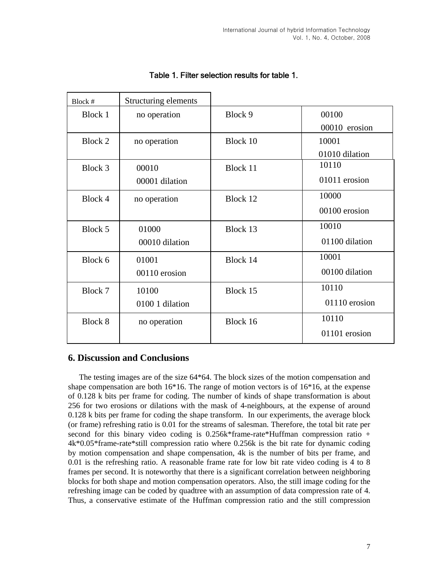| Block # | Structuring elements |          |                |
|---------|----------------------|----------|----------------|
| Block 1 | no operation         | Block 9  | 00100          |
|         |                      |          | 00010 erosion  |
| Block 2 | no operation         | Block 10 | 10001          |
|         |                      |          | 01010 dilation |
| Block 3 | 00010                | Block 11 | 10110          |
|         | 00001 dilation       |          | 01011 erosion  |
| Block 4 | no operation         | Block 12 | 10000          |
|         |                      |          | 00100 erosion  |
| Block 5 | 01000                | Block 13 | 10010          |
|         | 00010 dilation       |          | 01100 dilation |
| Block 6 | 01001                | Block 14 | 10001          |
|         | 00110 erosion        |          | 00100 dilation |
| Block 7 | 10100                | Block 15 | 10110          |
|         | 0100 1 dilation      |          | 01110 erosion  |
| Block 8 | no operation         | Block 16 | 10110          |
|         |                      |          | 01101 erosion  |

# Table 1. Filter selection results for table 1.

# **6. Discussion and Conclusions**

 The testing images are of the size 64\*64. The block sizes of the motion compensation and shape compensation are both  $16*16$ . The range of motion vectors is of  $16*16$ , at the expense of 0.128 k bits per frame for coding. The number of kinds of shape transformation is about 256 for two erosions or dilations with the mask of 4-neighbours, at the expense of around 0.128 k bits per frame for coding the shape transform. In our experiments, the average block (or frame) refreshing ratio is 0.01 for the streams of salesman. Therefore, the total bit rate per second for this binary video coding is  $0.256k*$  frame-rate  $*$ Huffman compression ratio  $+$ 4k\*0.05\*frame-rate\*still compression ratio where 0.256k is the bit rate for dynamic coding by motion compensation and shape compensation, 4k is the number of bits per frame, and 0.01 is the refreshing ratio. A reasonable frame rate for low bit rate video coding is 4 to 8 frames per second. It is noteworthy that there is a significant correlation between neighboring blocks for both shape and motion compensation operators. Also, the still image coding for the refreshing image can be coded by quadtree with an assumption of data compression rate of 4. Thus, a conservative estimate of the Huffman compression ratio and the still compression